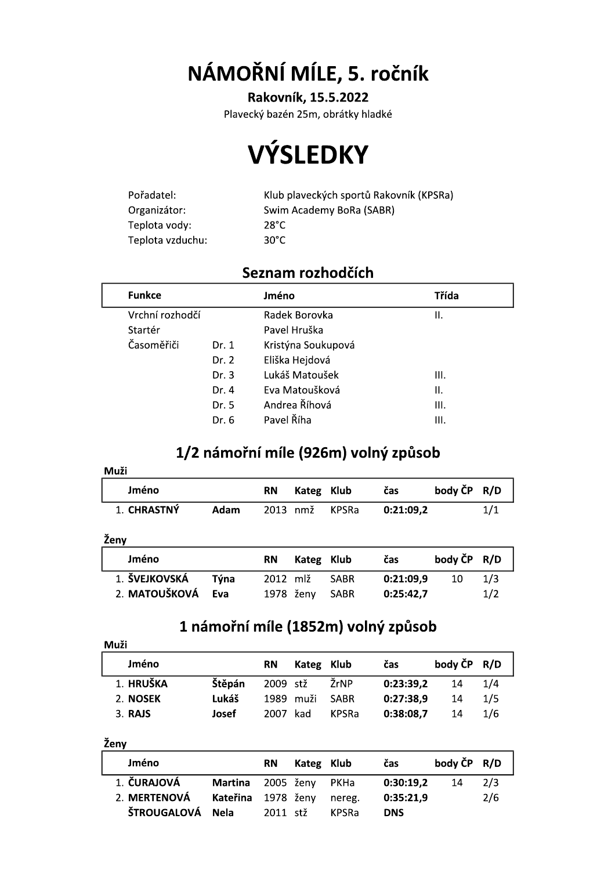NÁMOŘNÍ MÍLE, 5. ročník

Rakovník, 15.5.2022

Plavecký bazén 25m, obrátky hladké

# **VÝSLEDKY**

| Pořadatel:       | Klub plaveckých sportů Rakovník (KPSRa) |
|------------------|-----------------------------------------|
| Organizátor:     | Swim Academy BoRa (SABR)                |
| Teplota vody:    | 28°C.                                   |
| Teplota vzduchu: | 30°C.                                   |

#### Seznam rozhodčích

| <b>Funkce</b>   |       | Jméno               | Třída |  |  |
|-----------------|-------|---------------------|-------|--|--|
| Vrchní rozhodčí |       | Radek Borovka<br>н. |       |  |  |
| Startér         |       | Pavel Hruška        |       |  |  |
| Časoměřiči      | Dr. 1 | Kristýna Soukupová  |       |  |  |
|                 | Dr. 2 | Eliška Hejdová      |       |  |  |
|                 | Dr.3  | Lukáš Matoušek      | Ш.    |  |  |
|                 | Dr. 4 | Eva Matoušková      | Π.    |  |  |
|                 | Dr. 5 | Andrea Říhová       | Ш.    |  |  |
|                 | Dr. 6 | Pavel Říha          | Ш.    |  |  |
|                 |       |                     |       |  |  |

### 1/2 námořní míle (926m) volný způsob

| Muži          |      |          |       |              |           |         |     |
|---------------|------|----------|-------|--------------|-----------|---------|-----|
| Jméno         |      | RΝ       | Kateg | Klub         | čas       | body ČP | R/D |
| 1. CHRASTNÝ   | Adam | 2013     | nmž   | <b>KPSRa</b> | 0:21:09,2 |         | 1/1 |
|               |      |          |       |              |           |         |     |
| Ženy          |      |          |       |              |           |         |     |
| Jméno         |      | RN       | Kateg | Klub         | čas       | body ČP | R/D |
| 1. ŠVEJKOVSKÁ | Týna | 2012 mlž |       | <b>SABR</b>  | 0:21:09,9 | 10      | 1/3 |
| 2. MATOUŠKOVÁ | Eva  | 1978     | ženy  | <b>SABR</b>  | 0:25:42,7 |         | 1/2 |

#### 1 námořní míle (1852m) volný způsob

| Muži      |        |           |            |              |           |             |     |  |  |
|-----------|--------|-----------|------------|--------------|-----------|-------------|-----|--|--|
| Jméno     |        | <b>RN</b> | Kateg Klub |              | čas       | body ČP R/D |     |  |  |
| 1. HRUŠKA | Štěpán | 2009 stž  |            | ŽrNP         | 0:23:39,2 | 14          | 1/4 |  |  |
| 2. NOSEK  | Lukáš  | 1989      | muži       | <b>SABR</b>  | 0:27:38,9 | 14          | 1/5 |  |  |
| 3. RAJS   | Josef  | 2007      | kad        | <b>KPSRa</b> | 0:38:08,7 | 14          | 1/6 |  |  |

Ženy

| Jméno            |                        | <b>RN</b> | Kateg Klub |              | čas        | body ČP R/D |     |
|------------------|------------------------|-----------|------------|--------------|------------|-------------|-----|
| 1. ČURAJOVÁ      | Martina 2005 ženy PKHa |           |            |              | 0:30:19.2  | 14          | 2/3 |
| 2. MERTENOVÁ     | Kateřina 1978 ženy     |           |            | nereg.       | 0:35:21,9  |             | 2/6 |
| ŠTROUGALOVÁ Nela |                        | 2011 stž  |            | <b>KPSRa</b> | <b>DNS</b> |             |     |